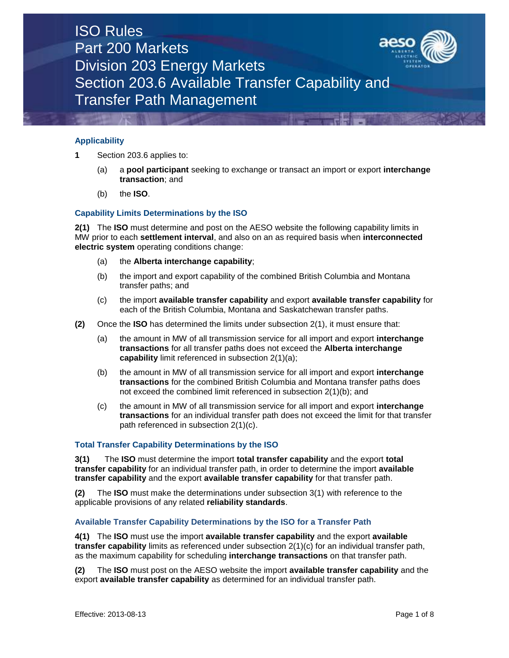## ISO Rules Part 200 Markets Division 203 Energy Markets Section 203.6 Available Transfer Capability and Transfer Path Management

#### **Applicability**

- **1** Section 203.6 applies to:
	- (a) a **pool participant** seeking to exchange or transact an import or export **interchange transaction**; and
	- (b) the **ISO**.

### **Capability Limits Determinations by the ISO**

**2(1)** The **ISO** must determine and post on the AESO website the following capability limits in MW prior to each **settlement interval**, and also on an as required basis when **interconnected electric system** operating conditions change:

- (a) the **Alberta interchange capability**;
- (b) the import and export capability of the combined British Columbia and Montana transfer paths; and
- (c) the import **available transfer capability** and export **available transfer capability** for each of the British Columbia, Montana and Saskatchewan transfer paths.
- **(2)** Once the **ISO** has determined the limits under subsection 2(1), it must ensure that:
	- (a) the amount in MW of all transmission service for all import and export **interchange transactions** for all transfer paths does not exceed the **Alberta interchange capability** limit referenced in subsection 2(1)(a);
	- (b) the amount in MW of all transmission service for all import and export **interchange transactions** for the combined British Columbia and Montana transfer paths does not exceed the combined limit referenced in subsection 2(1)(b); and
	- (c) the amount in MW of all transmission service for all import and export **interchange transactions** for an individual transfer path does not exceed the limit for that transfer path referenced in subsection 2(1)(c).

#### **Total Transfer Capability Determinations by the ISO**

**3(1)** The **ISO** must determine the import **total transfer capability** and the export **total transfer capability** for an individual transfer path, in order to determine the import **available transfer capability** and the export **available transfer capability** for that transfer path.

**(2)** The **ISO** must make the determinations under subsection 3(1) with reference to the applicable provisions of any related **reliability standards**.

#### **Available Transfer Capability Determinations by the ISO for a Transfer Path**

**4(1)** The **ISO** must use the import **available transfer capability** and the export **available transfer capability** limits as referenced under subsection 2(1)(c) for an individual transfer path, as the maximum capability for scheduling **interchange transactions** on that transfer path.

**(2)** The **ISO** must post on the AESO website the import **available transfer capability** and the export **available transfer capability** as determined for an individual transfer path.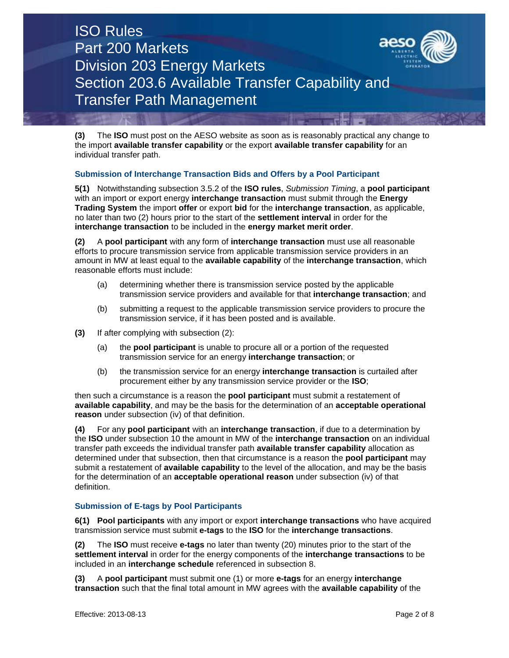# ISO Rules Part 200 Markets Division 203 Energy Markets Section 203.6 Available Transfer Capability and Transfer Path Management



**(3)** The **ISO** must post on the AESO website as soon as is reasonably practical any change to the import **available transfer capability** or the export **available transfer capability** for an individual transfer path.

## **Submission of Interchange Transaction Bids and Offers by a Pool Participant**

**5(1)** Notwithstanding subsection 3.5.2 of the **ISO rules**, *Submission Timing*, a **pool participant** with an import or export energy **interchange transaction** must submit through the **Energy Trading System** the import **offer** or export **bid** for the **interchange transaction**, as applicable, no later than two (2) hours prior to the start of the **settlement interval** in order for the **interchange transaction** to be included in the **energy market merit order**.

**(2)** A **pool participant** with any form of **interchange transaction** must use all reasonable efforts to procure transmission service from applicable transmission service providers in an amount in MW at least equal to the **available capability** of the **interchange transaction**, which reasonable efforts must include:

- (a) determining whether there is transmission service posted by the applicable transmission service providers and available for that **interchange transaction**; and
- (b) submitting a request to the applicable transmission service providers to procure the transmission service, if it has been posted and is available.
- **(3)** If after complying with subsection (2):
	- (a) the **pool participant** is unable to procure all or a portion of the requested transmission service for an energy **interchange transaction**; or
	- (b) the transmission service for an energy **interchange transaction** is curtailed after procurement either by any transmission service provider or the **ISO**;

then such a circumstance is a reason the **pool participant** must submit a restatement of **available capability**, and may be the basis for the determination of an **acceptable operational reason** under subsection (iv) of that definition.

**(4)** For any **pool participant** with an **interchange transaction**, if due to a determination by the **ISO** under subsection 10 the amount in MW of the **interchange transaction** on an individual transfer path exceeds the individual transfer path **available transfer capability** allocation as determined under that subsection, then that circumstance is a reason the **pool participant** may submit a restatement of **available capability** to the level of the allocation, and may be the basis for the determination of an **acceptable operational reason** under subsection (iv) of that definition.

#### **Submission of E-tags by Pool Participants**

**6(1) Pool participants** with any import or export **interchange transactions** who have acquired transmission service must submit **e-tags** to the **ISO** for the **interchange transactions**.

**(2)** The **ISO** must receive **e-tags** no later than twenty (20) minutes prior to the start of the **settlement interval** in order for the energy components of the **interchange transactions** to be included in an **interchange schedule** referenced in subsection 8.

**(3)** A **pool participant** must submit one (1) or more **e-tags** for an energy **interchange transaction** such that the final total amount in MW agrees with the **available capability** of the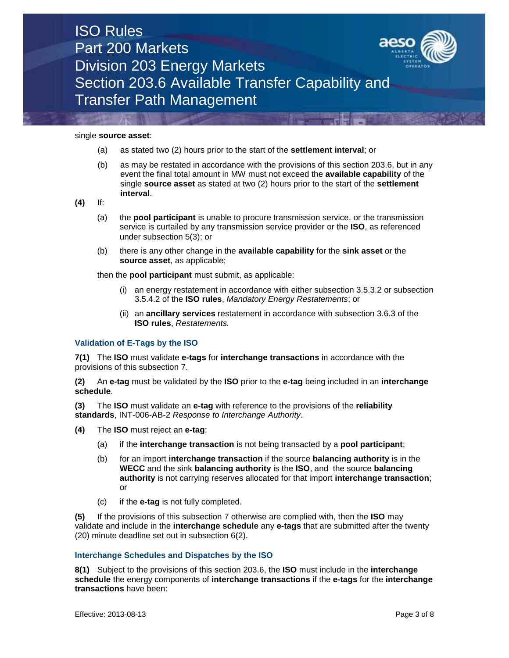| <b>ISO Rules</b>                                |     |
|-------------------------------------------------|-----|
| Part 200 Markets                                | aes |
| <b>Division 203 Energy Markets</b>              |     |
| Section 203.6 Available Transfer Capability and |     |
| Transfer Path Management                        |     |

single **source asset**:

- (a) as stated two (2) hours prior to the start of the **settlement interval**; or
- (b) as may be restated in accordance with the provisions of this section 203.6, but in any event the final total amount in MW must not exceed the **available capability** of the single **source asset** as stated at two (2) hours prior to the start of the **settlement interval**.

**(4)** If:

- (a) the **pool participant** is unable to procure transmission service, or the transmission service is curtailed by any transmission service provider or the **ISO**, as referenced under subsection 5(3); or
- (b) there is any other change in the **available capability** for the **sink asset** or the **source asset**, as applicable;

then the **pool participant** must submit, as applicable:

- (i) an energy restatement in accordance with either subsection 3.5.3.2 or subsection 3.5.4.2 of the **ISO rules**, *Mandatory Energy Restatements*; or
- (ii) an **ancillary services** restatement in accordance with subsection 3.6.3 of the **ISO rules**, *Restatements.*

#### **Validation of E-Tags by the ISO**

**7(1)** The **ISO** must validate **e-tags** for **interchange transactions** in accordance with the provisions of this subsection 7.

**(2)** An **e-tag** must be validated by the **ISO** prior to the **e-tag** being included in an **interchange schedule**.

**(3)** The **ISO** must validate an **e-tag** with reference to the provisions of the **reliability standards**, INT-006-AB-2 *Response to Interchange Authority*.

- **(4)** The **ISO** must reject an **e-tag**:
	- (a) if the **interchange transaction** is not being transacted by a **pool participant**;
	- (b) for an import **interchange transaction** if the source **balancing authority** is in the **WECC** and the sink **balancing authority** is the **ISO**, and the source **balancing authority** is not carrying reserves allocated for that import **interchange transaction**; or
	- (c) if the **e-tag** is not fully completed.

**(5)** If the provisions of this subsection 7 otherwise are complied with, then the **ISO** may validate and include in the **interchange schedule** any **e-tags** that are submitted after the twenty (20) minute deadline set out in subsection 6(2).

#### **Interchange Schedules and Dispatches by the ISO**

**8(1)** Subject to the provisions of this section 203.6, the **ISO** must include in the **interchange schedule** the energy components of **interchange transactions** if the **e-tags** for the **interchange transactions** have been: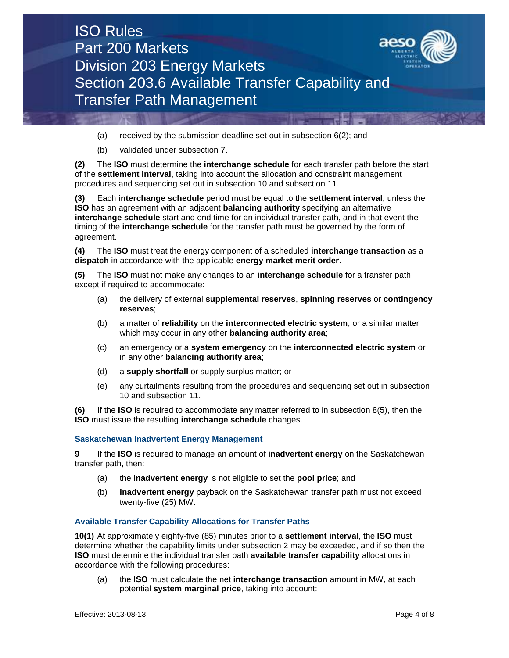

- (a) received by the submission deadline set out in subsection 6(2); and
- (b) validated under subsection 7.

**(2)** The **ISO** must determine the **interchange schedule** for each transfer path before the start of the **settlement interval**, taking into account the allocation and constraint management procedures and sequencing set out in subsection 10 and subsection 11.

**(3)** Each **interchange schedule** period must be equal to the **settlement interval**, unless the **ISO** has an agreement with an adjacent **balancing authority** specifying an alternative **interchange schedule** start and end time for an individual transfer path, and in that event the timing of the **interchange schedule** for the transfer path must be governed by the form of agreement.

**(4)** The **ISO** must treat the energy component of a scheduled **interchange transaction** as a **dispatch** in accordance with the applicable **energy market merit order**.

**(5)** The **ISO** must not make any changes to an **interchange schedule** for a transfer path except if required to accommodate:

- (a) the delivery of external **supplemental reserves**, **spinning reserves** or **contingency reserves**;
- (b) a matter of **reliability** on the **interconnected electric system**, or a similar matter which may occur in any other **balancing authority area**;
- (c) an emergency or a **system emergency** on the **interconnected electric system** or in any other **balancing authority area**;
- (d) a **supply shortfall** or supply surplus matter; or
- (e) any curtailments resulting from the procedures and sequencing set out in subsection 10 and subsection 11.

**(6)** If the **ISO** is required to accommodate any matter referred to in subsection 8(5), then the **ISO** must issue the resulting **interchange schedule** changes.

#### **Saskatchewan Inadvertent Energy Management**

**9** If the **ISO** is required to manage an amount of **inadvertent energy** on the Saskatchewan transfer path, then:

- (a) the **inadvertent energy** is not eligible to set the **pool price**; and
- (b) **inadvertent energy** payback on the Saskatchewan transfer path must not exceed twenty-five (25) MW.

#### **Available Transfer Capability Allocations for Transfer Paths**

**10(1)** At approximately eighty-five (85) minutes prior to a **settlement interval**, the **ISO** must determine whether the capability limits under subsection 2 may be exceeded, and if so then the **ISO** must determine the individual transfer path **available transfer capability** allocations in accordance with the following procedures:

(a) the **ISO** must calculate the net **interchange transaction** amount in MW, at each potential **system marginal price**, taking into account: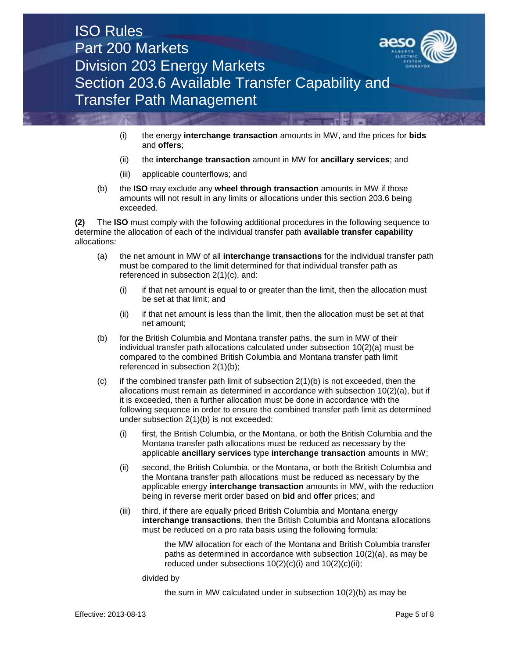

- (i) the energy **interchange transaction** amounts in MW, and the prices for **bids** and **offers**;
- (ii) the **interchange transaction** amount in MW for **ancillary services**; and
- (iii) applicable counterflows; and
- (b) the **ISO** may exclude any **wheel through transaction** amounts in MW if those amounts will not result in any limits or allocations under this section 203.6 being exceeded.

**(2)** The **ISO** must comply with the following additional procedures in the following sequence to determine the allocation of each of the individual transfer path **available transfer capability** allocations:

- (a) the net amount in MW of all **interchange transactions** for the individual transfer path must be compared to the limit determined for that individual transfer path as referenced in subsection 2(1)(c), and:
	- (i) if that net amount is equal to or greater than the limit, then the allocation must be set at that limit; and
	- (ii) if that net amount is less than the limit, then the allocation must be set at that net amount;
- (b) for the British Columbia and Montana transfer paths, the sum in MW of their individual transfer path allocations calculated under subsection 10(2)(a) must be compared to the combined British Columbia and Montana transfer path limit referenced in subsection 2(1)(b);
- $(c)$  if the combined transfer path limit of subsection  $2(1)(b)$  is not exceeded, then the allocations must remain as determined in accordance with subsection 10(2)(a), but if it is exceeded, then a further allocation must be done in accordance with the following sequence in order to ensure the combined transfer path limit as determined under subsection 2(1)(b) is not exceeded:
	- (i) first, the British Columbia, or the Montana, or both the British Columbia and the Montana transfer path allocations must be reduced as necessary by the applicable **ancillary services** type **interchange transaction** amounts in MW;
	- (ii) second, the British Columbia, or the Montana, or both the British Columbia and the Montana transfer path allocations must be reduced as necessary by the applicable energy **interchange transaction** amounts in MW, with the reduction being in reverse merit order based on **bid** and **offer** prices; and
	- (iii) third, if there are equally priced British Columbia and Montana energy **interchange transactions**, then the British Columbia and Montana allocations must be reduced on a pro rata basis using the following formula:

the MW allocation for each of the Montana and British Columbia transfer paths as determined in accordance with subsection 10(2)(a), as may be reduced under subsections  $10(2)(c)(i)$  and  $10(2)(c)(ii)$ ;

divided by

the sum in MW calculated under in subsection 10(2)(b) as may be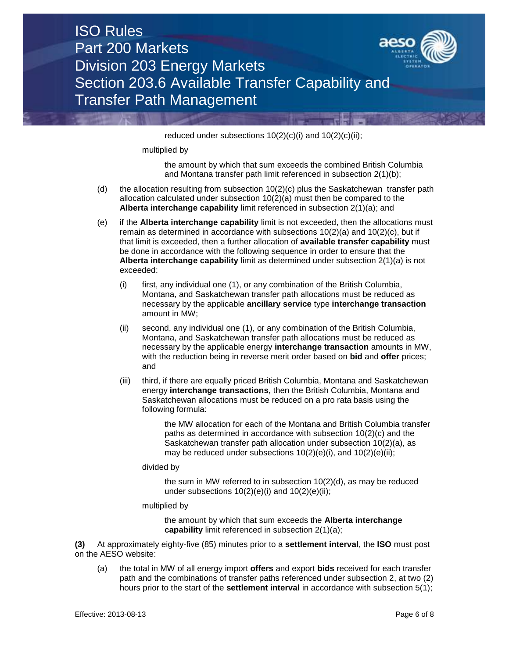| <b>ISO Rules</b>                                |     |
|-------------------------------------------------|-----|
| Part 200 Markets                                | aes |
| <b>Division 203 Energy Markets</b>              |     |
| Section 203.6 Available Transfer Capability and |     |
| Transfer Path Management                        |     |

reduced under subsections  $10(2)(c)(i)$  and  $10(2)(c)(ii)$ ;

multiplied by

the amount by which that sum exceeds the combined British Columbia and Montana transfer path limit referenced in subsection 2(1)(b);

- (d) the allocation resulting from subsection  $10(2)(c)$  plus the Saskatchewan transfer path allocation calculated under subsection 10(2)(a) must then be compared to the **Alberta interchange capability** limit referenced in subsection 2(1)(a); and
- (e) if the **Alberta interchange capability** limit is not exceeded, then the allocations must remain as determined in accordance with subsections  $10(2)(a)$  and  $10(2)(c)$ , but if that limit is exceeded, then a further allocation of **available transfer capability** must be done in accordance with the following sequence in order to ensure that the **Alberta interchange capability** limit as determined under subsection 2(1)(a) is not exceeded:
	- (i) first, any individual one (1), or any combination of the British Columbia, Montana, and Saskatchewan transfer path allocations must be reduced as necessary by the applicable **ancillary service** type **interchange transaction** amount in MW;
	- (ii) second, any individual one (1), or any combination of the British Columbia, Montana, and Saskatchewan transfer path allocations must be reduced as necessary by the applicable energy **interchange transaction** amounts in MW, with the reduction being in reverse merit order based on **bid** and **offer** prices; and
	- (iii) third, if there are equally priced British Columbia, Montana and Saskatchewan energy **interchange transactions,** then the British Columbia, Montana and Saskatchewan allocations must be reduced on a pro rata basis using the following formula:

the MW allocation for each of the Montana and British Columbia transfer paths as determined in accordance with subsection 10(2)(c) and the Saskatchewan transfer path allocation under subsection 10(2)(a), as may be reduced under subsections  $10(2)(e)(i)$ , and  $10(2)(e)(ii)$ ;

divided by

the sum in MW referred to in subsection 10(2)(d), as may be reduced under subsections  $10(2)(e)(i)$  and  $10(2)(e)(ii)$ ;

multiplied by

the amount by which that sum exceeds the **Alberta interchange capability** limit referenced in subsection 2(1)(a);

**(3)** At approximately eighty-five (85) minutes prior to a **settlement interval**, the **ISO** must post on the AESO website:

(a) the total in MW of all energy import **offers** and export **bids** received for each transfer path and the combinations of transfer paths referenced under subsection 2, at two (2) hours prior to the start of the **settlement interval** in accordance with subsection 5(1);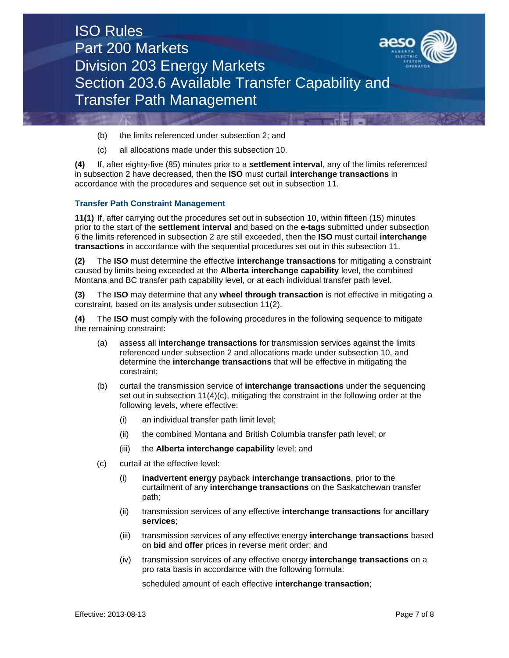

- (b) the limits referenced under subsection 2; and
- (c) all allocations made under this subsection 10.

**(4)** If, after eighty-five (85) minutes prior to a **settlement interval**, any of the limits referenced in subsection 2 have decreased, then the **ISO** must curtail **interchange transactions** in accordance with the procedures and sequence set out in subsection 11.

#### **Transfer Path Constraint Management**

**11(1)** If, after carrying out the procedures set out in subsection 10, within fifteen (15) minutes prior to the start of the **settlement interval** and based on the **e-tags** submitted under subsection 6 the limits referenced in subsection 2 are still exceeded, then the **ISO** must curtail **interchange transactions** in accordance with the sequential procedures set out in this subsection 11.

**(2)** The **ISO** must determine the effective **interchange transactions** for mitigating a constraint caused by limits being exceeded at the **Alberta interchange capability** level, the combined Montana and BC transfer path capability level, or at each individual transfer path level.

**(3)** The **ISO** may determine that any **wheel through transaction** is not effective in mitigating a constraint, based on its analysis under subsection 11(2).

**(4)** The **ISO** must comply with the following procedures in the following sequence to mitigate the remaining constraint:

- (a) assess all **interchange transactions** for transmission services against the limits referenced under subsection 2 and allocations made under subsection 10, and determine the **interchange transactions** that will be effective in mitigating the constraint;
- (b) curtail the transmission service of **interchange transactions** under the sequencing set out in subsection  $11(4)(c)$ , mitigating the constraint in the following order at the following levels, where effective:
	- (i) an individual transfer path limit level;
	- (ii) the combined Montana and British Columbia transfer path level; or
	- (iii) the **Alberta interchange capability** level; and
- (c) curtail at the effective level:
	- (i) **inadvertent energy** payback **interchange transactions**, prior to the curtailment of any **interchange transactions** on the Saskatchewan transfer path;
	- (ii) transmission services of any effective **interchange transactions** for **ancillary services**;
	- (iii) transmission services of any effective energy **interchange transactions** based on **bid** and **offer** prices in reverse merit order; and
	- (iv) transmission services of any effective energy **interchange transactions** on a pro rata basis in accordance with the following formula:

scheduled amount of each effective **interchange transaction**;